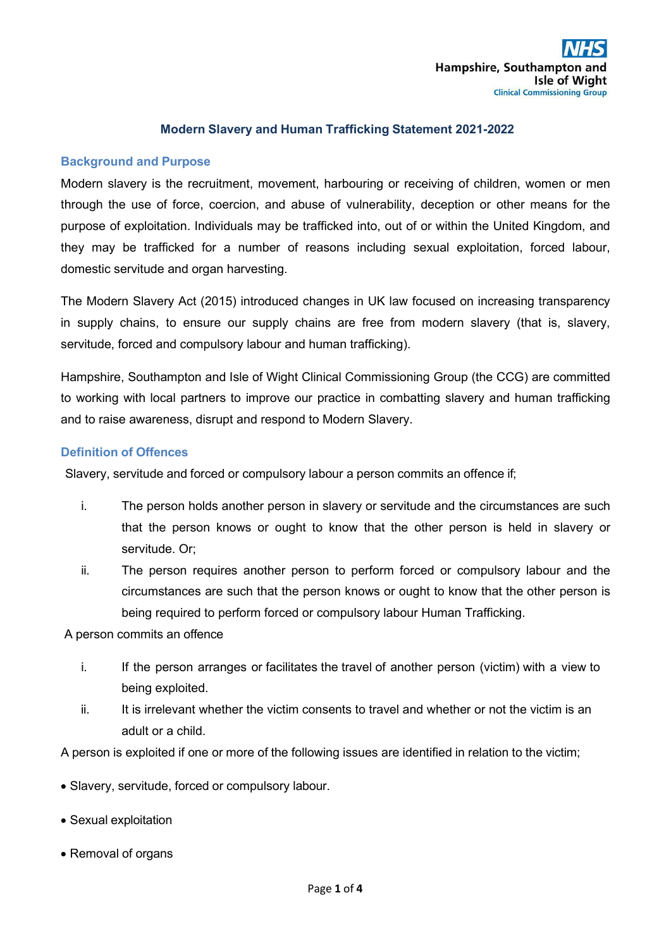#### **Modern Slavery and Human Trafficking Statement 2021-2022**

### **Background and Purpose**

Modern slavery is the recruitment, movement, harbouring or receiving of children, women or men through the use of force, coercion, and abuse of vulnerability, deception or other means for the purpose of exploitation. Individuals may be trafficked into, out of or within the United Kingdom, and they may be trafficked for a number of reasons including sexual exploitation, forced labour, domestic servitude and organ harvesting.

The Modern Slavery Act (2015) introduced changes in UK law focused on increasing transparency in supply chains, to ensure our supply chains are free from modern slavery (that is, slavery, servitude, forced and compulsory labour and human trafficking).

Hampshire, Southampton and Isle of Wight Clinical Commissioning Group (the CCG) are committed to working with local partners to improve our practice in combatting slavery and human trafficking and to raise awareness, disrupt and respond to Modern Slavery.

#### **Definition of Offences**

Slavery, servitude and forced or compulsory labour a person commits an offence if;

- i. The person holds another person in slavery or servitude and the circumstances are such that the person knows or ought to know that the other person is held in slavery or servitude. Or;
- ii. The person requires another person to perform forced or compulsory labour and the circumstances are such that the person knows or ought to know that the other person is being required to perform forced or compulsory labour Human Trafficking.

A person commits an offence

- i. If the person arranges or facilitates the travel of another person (victim) with a view to being exploited.
- ii. It is irrelevant whether the victim consents to travel and whether or not the victim is an adult or a child.

A person is exploited if one or more of the following issues are identified in relation to the victim;

- Slavery, servitude, forced or compulsory labour.
- Sexual exploitation
- Removal of organs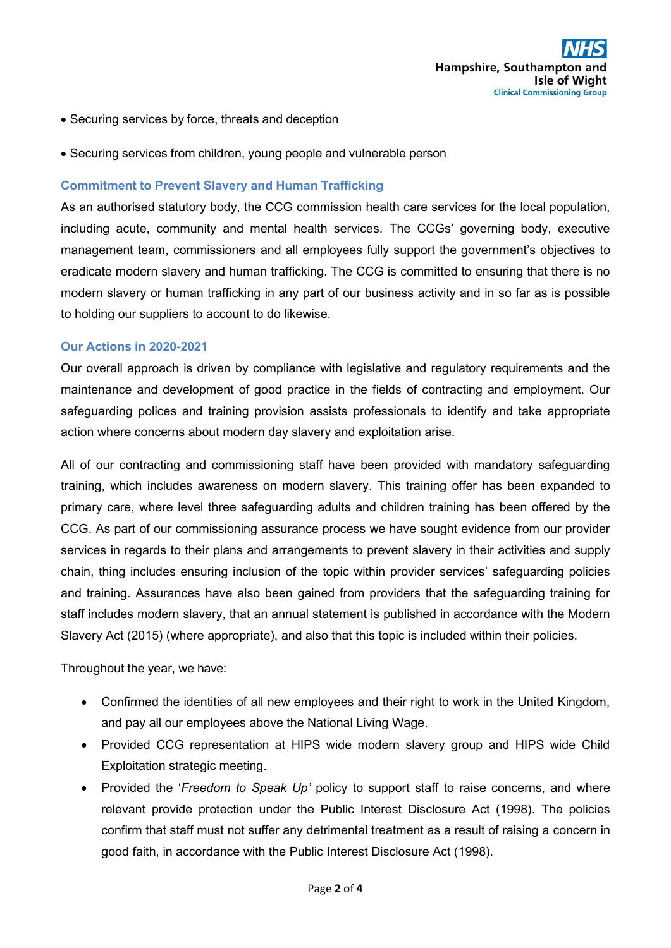- Securing services by force, threats and deception
- Securing services from children, young people and vulnerable person

### **Commitment to Prevent Slavery and Human Trafficking**

As an authorised statutory body, the CCG commission health care services for the local population, including acute, community and mental health services. The CCGs' governing body, executive management team, commissioners and all employees fully support the government's objectives to eradicate modern slavery and human trafficking. The CCG is committed to ensuring that there is no modern slavery or human trafficking in any part of our business activity and in so far as is possible to holding our suppliers to account to do likewise.

#### **Our Actions in 2020-2021**

Our overall approach is driven by compliance with legislative and regulatory requirements and the maintenance and development of good practice in the fields of contracting and employment. Our safeguarding polices and training provision assists professionals to identify and take appropriate action where concerns about modern day slavery and exploitation arise.

All of our contracting and commissioning staff have been provided with mandatory safeguarding training, which includes awareness on modern slavery. This training offer has been expanded to primary care, where level three safeguarding adults and children training has been offered by the CCG. As part of our commissioning assurance process we have sought evidence from our provider services in regards to their plans and arrangements to prevent slavery in their activities and supply chain, thing includes ensuring inclusion of the topic within provider services' safeguarding policies and training. Assurances have also been gained from providers that the safeguarding training for staff includes modern slavery, that an annual statement is published in accordance with the Modern Slavery Act (2015) (where appropriate), and also that this topic is included within their policies.

Throughout the year, we have:

- Confirmed the identities of all new employees and their right to work in the United Kingdom, and pay all our employees above the National Living Wage.
- Provided CCG representation at HIPS wide modern slavery group and HIPS wide Child Exploitation strategic meeting.
- Provided the '*Freedom to Speak Up'* policy to support staff to raise concerns, and where relevant provide protection under the Public Interest Disclosure Act (1998). The policies confirm that staff must not suffer any detrimental treatment as a result of raising a concern in good faith, in accordance with the Public Interest Disclosure Act (1998).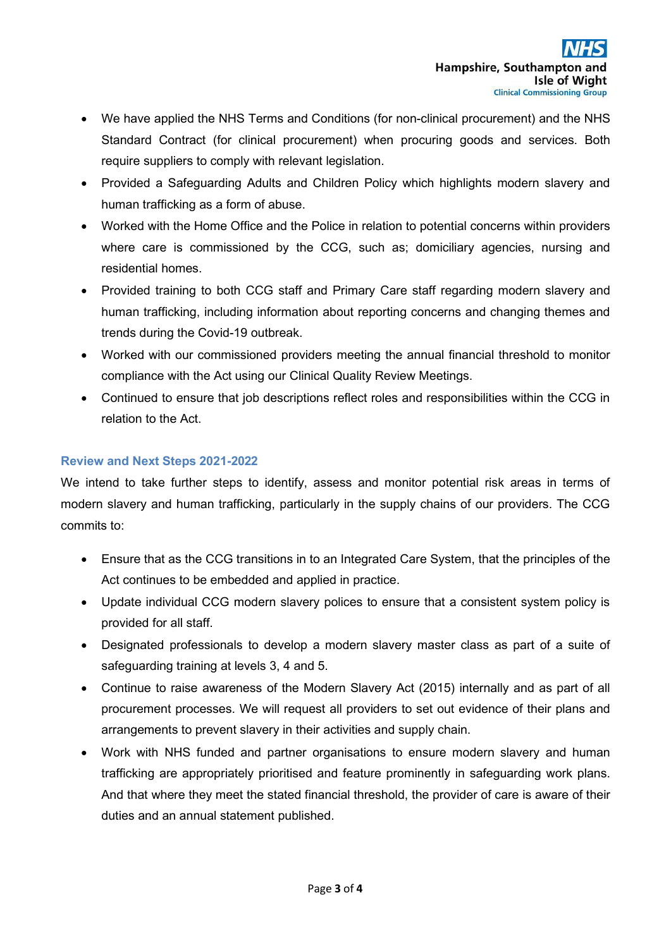- We have applied the NHS Terms and Conditions (for non-clinical procurement) and the NHS Standard Contract (for clinical procurement) when procuring goods and services. Both require suppliers to comply with relevant legislation.
- Provided a Safeguarding Adults and Children Policy which highlights modern slavery and human trafficking as a form of abuse.
- Worked with the Home Office and the Police in relation to potential concerns within providers where care is commissioned by the CCG, such as; domiciliary agencies, nursing and residential homes.
- Provided training to both CCG staff and Primary Care staff regarding modern slavery and human trafficking, including information about reporting concerns and changing themes and trends during the Covid-19 outbreak.
- Worked with our commissioned providers meeting the annual financial threshold to monitor compliance with the Act using our Clinical Quality Review Meetings.
- Continued to ensure that job descriptions reflect roles and responsibilities within the CCG in relation to the Act.

# **Review and Next Steps 2021-2022**

We intend to take further steps to identify, assess and monitor potential risk areas in terms of modern slavery and human trafficking, particularly in the supply chains of our providers. The CCG commits to:

- Ensure that as the CCG transitions in to an Integrated Care System, that the principles of the Act continues to be embedded and applied in practice.
- Update individual CCG modern slavery polices to ensure that a consistent system policy is provided for all staff.
- Designated professionals to develop a modern slavery master class as part of a suite of safeguarding training at levels 3, 4 and 5.
- Continue to raise awareness of the Modern Slavery Act (2015) internally and as part of all procurement processes. We will request all providers to set out evidence of their plans and arrangements to prevent slavery in their activities and supply chain.
- Work with NHS funded and partner organisations to ensure modern slavery and human trafficking are appropriately prioritised and feature prominently in safeguarding work plans. And that where they meet the stated financial threshold, the provider of care is aware of their duties and an annual statement published.